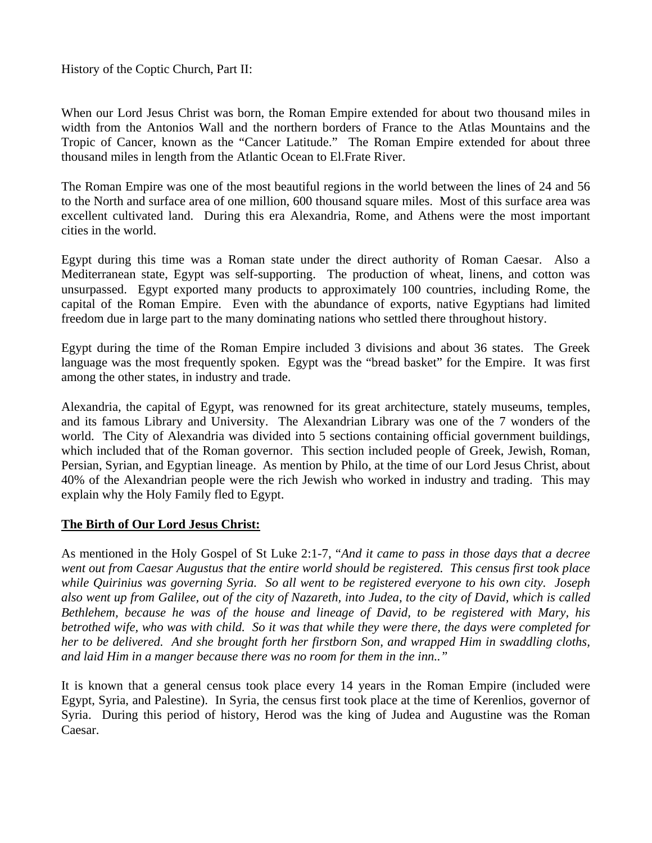History of the Coptic Church, Part II:

When our Lord Jesus Christ was born, the Roman Empire extended for about two thousand miles in width from the Antonios Wall and the northern borders of France to the Atlas Mountains and the Tropic of Cancer, known as the "Cancer Latitude." The Roman Empire extended for about three thousand miles in length from the Atlantic Ocean to El.Frate River.

The Roman Empire was one of the most beautiful regions in the world between the lines of 24 and 56 to the North and surface area of one million, 600 thousand square miles. Most of this surface area was excellent cultivated land. During this era Alexandria, Rome, and Athens were the most important cities in the world.

Egypt during this time was a Roman state under the direct authority of Roman Caesar. Also a Mediterranean state, Egypt was self-supporting. The production of wheat, linens, and cotton was unsurpassed. Egypt exported many products to approximately 100 countries, including Rome, the capital of the Roman Empire. Even with the abundance of exports, native Egyptians had limited freedom due in large part to the many dominating nations who settled there throughout history.

Egypt during the time of the Roman Empire included 3 divisions and about 36 states. The Greek language was the most frequently spoken. Egypt was the "bread basket" for the Empire. It was first among the other states, in industry and trade.

Alexandria, the capital of Egypt, was renowned for its great architecture, stately museums, temples, and its famous Library and University. The Alexandrian Library was one of the 7 wonders of the world. The City of Alexandria was divided into 5 sections containing official government buildings, which included that of the Roman governor. This section included people of Greek, Jewish, Roman, Persian, Syrian, and Egyptian lineage. As mention by Philo, at the time of our Lord Jesus Christ, about 40% of the Alexandrian people were the rich Jewish who worked in industry and trading. This may explain why the Holy Family fled to Egypt.

## **The Birth of Our Lord Jesus Christ:**

As mentioned in the Holy Gospel of St Luke 2:1-7, "*And it came to pass in those days that a decree went out from Caesar Augustus that the entire world should be registered. This census first took place while Quirinius was governing Syria. So all went to be registered everyone to his own city. Joseph also went up from Galilee, out of the city of Nazareth, into Judea, to the city of David, which is called Bethlehem, because he was of the house and lineage of David, to be registered with Mary, his betrothed wife, who was with child. So it was that while they were there, the days were completed for her to be delivered. And she brought forth her firstborn Son, and wrapped Him in swaddling cloths, and laid Him in a manger because there was no room for them in the inn.."* 

It is known that a general census took place every 14 years in the Roman Empire (included were Egypt, Syria, and Palestine). In Syria, the census first took place at the time of Kerenlios, governor of Syria. During this period of history, Herod was the king of Judea and Augustine was the Roman Caesar.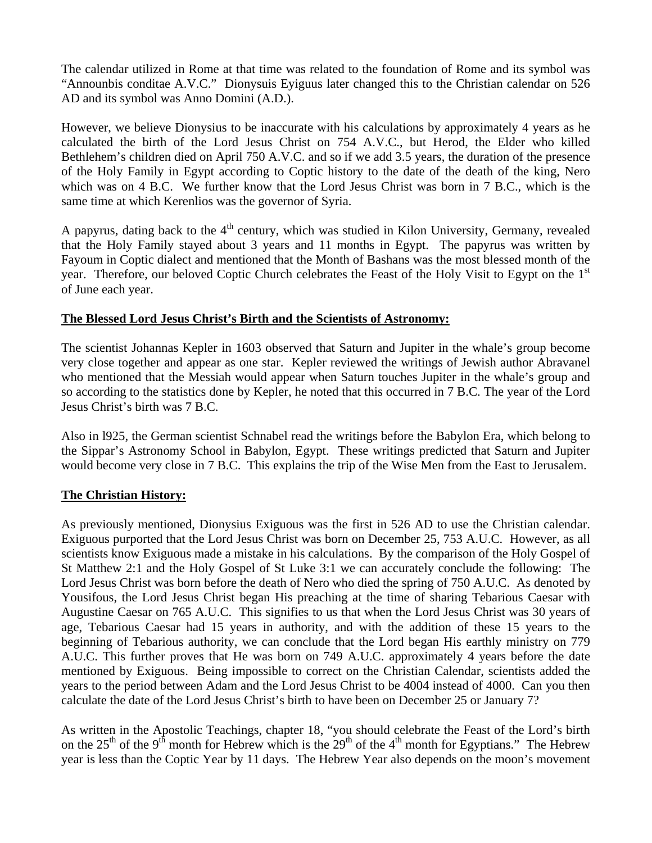The calendar utilized in Rome at that time was related to the foundation of Rome and its symbol was "Announbis conditae A.V.C." Dionysuis Eyiguus later changed this to the Christian calendar on 526 AD and its symbol was Anno Domini (A.D.).

However, we believe Dionysius to be inaccurate with his calculations by approximately 4 years as he calculated the birth of the Lord Jesus Christ on 754 A.V.C., but Herod, the Elder who killed Bethlehem's children died on April 750 A.V.C. and so if we add 3.5 years, the duration of the presence of the Holy Family in Egypt according to Coptic history to the date of the death of the king, Nero which was on 4 B.C. We further know that the Lord Jesus Christ was born in 7 B.C., which is the same time at which Kerenlios was the governor of Syria.

A papyrus, dating back to the  $4<sup>th</sup>$  century, which was studied in Kilon University, Germany, revealed that the Holy Family stayed about 3 years and 11 months in Egypt. The papyrus was written by Fayoum in Coptic dialect and mentioned that the Month of Bashans was the most blessed month of the year. Therefore, our beloved Coptic Church celebrates the Feast of the Holy Visit to Egypt on the 1<sup>st</sup> of June each year.

## **The Blessed Lord Jesus Christ's Birth and the Scientists of Astronomy:**

The scientist Johannas Kepler in 1603 observed that Saturn and Jupiter in the whale's group become very close together and appear as one star. Kepler reviewed the writings of Jewish author Abravanel who mentioned that the Messiah would appear when Saturn touches Jupiter in the whale's group and so according to the statistics done by Kepler, he noted that this occurred in 7 B.C. The year of the Lord Jesus Christ's birth was 7 B.C.

Also in l925, the German scientist Schnabel read the writings before the Babylon Era, which belong to the Sippar's Astronomy School in Babylon, Egypt. These writings predicted that Saturn and Jupiter would become very close in 7 B.C. This explains the trip of the Wise Men from the East to Jerusalem.

## **The Christian History:**

As previously mentioned, Dionysius Exiguous was the first in 526 AD to use the Christian calendar. Exiguous purported that the Lord Jesus Christ was born on December 25, 753 A.U.C. However, as all scientists know Exiguous made a mistake in his calculations. By the comparison of the Holy Gospel of St Matthew 2:1 and the Holy Gospel of St Luke 3:1 we can accurately conclude the following: The Lord Jesus Christ was born before the death of Nero who died the spring of 750 A.U.C. As denoted by Yousifous, the Lord Jesus Christ began His preaching at the time of sharing Tebarious Caesar with Augustine Caesar on 765 A.U.C. This signifies to us that when the Lord Jesus Christ was 30 years of age, Tebarious Caesar had 15 years in authority, and with the addition of these 15 years to the beginning of Tebarious authority, we can conclude that the Lord began His earthly ministry on 779 A.U.C. This further proves that He was born on 749 A.U.C. approximately 4 years before the date mentioned by Exiguous. Being impossible to correct on the Christian Calendar, scientists added the years to the period between Adam and the Lord Jesus Christ to be 4004 instead of 4000. Can you then calculate the date of the Lord Jesus Christ's birth to have been on December 25 or January 7?

As written in the Apostolic Teachings, chapter 18, "you should celebrate the Feast of the Lord's birth on the  $25<sup>th</sup>$  of the 9<sup>th</sup> month for Hebrew which is the  $29<sup>th</sup>$  of the 4<sup>th</sup> month for Egyptians." The Hebrew year is less than the Coptic Year by 11 days. The Hebrew Year also depends on the moon's movement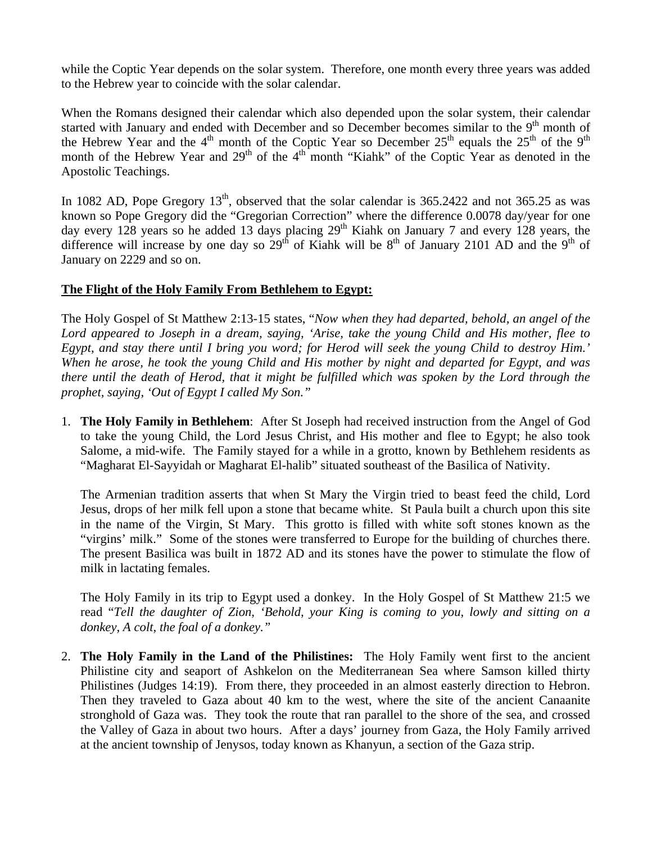while the Coptic Year depends on the solar system. Therefore, one month every three years was added to the Hebrew year to coincide with the solar calendar.

When the Romans designed their calendar which also depended upon the solar system, their calendar started with January and ended with December and so December becomes similar to the  $9<sup>th</sup>$  month of the Hebrew Year and the  $4<sup>th</sup>$  month of the Coptic Year so December  $25<sup>th</sup>$  equals the  $25<sup>th</sup>$  of the 9<sup>th</sup> month of the Hebrew Year and  $29<sup>th</sup>$  of the  $4<sup>th</sup>$  month "Kiahk" of the Coptic Year as denoted in the Apostolic Teachings.

In 1082 AD, Pope Gregory  $13<sup>th</sup>$ , observed that the solar calendar is 365.2422 and not 365.25 as was known so Pope Gregory did the "Gregorian Correction" where the difference 0.0078 day/year for one day every 128 years so he added 13 days placing 29<sup>th</sup> Kiahk on January 7 and every 128 years, the difference will increase by one day so  $29<sup>th</sup>$  of Kiahk will be  $8<sup>th</sup>$  of January 2101 AD and the  $9<sup>th</sup>$  of January on 2229 and so on.

## **The Flight of the Holy Family From Bethlehem to Egypt:**

The Holy Gospel of St Matthew 2:13-15 states, "*Now when they had departed, behold, an angel of the Lord appeared to Joseph in a dream, saying, 'Arise, take the young Child and His mother, flee to Egypt, and stay there until I bring you word; for Herod will seek the young Child to destroy Him.' When he arose, he took the young Child and His mother by night and departed for Egypt, and was there until the death of Herod, that it might be fulfilled which was spoken by the Lord through the prophet, saying, 'Out of Egypt I called My Son."* 

1. **The Holy Family in Bethlehem**: After St Joseph had received instruction from the Angel of God to take the young Child, the Lord Jesus Christ, and His mother and flee to Egypt; he also took Salome, a mid-wife. The Family stayed for a while in a grotto, known by Bethlehem residents as "Magharat El-Sayyidah or Magharat El-halib" situated southeast of the Basilica of Nativity.

The Armenian tradition asserts that when St Mary the Virgin tried to beast feed the child, Lord Jesus, drops of her milk fell upon a stone that became white. St Paula built a church upon this site in the name of the Virgin, St Mary. This grotto is filled with white soft stones known as the "virgins' milk." Some of the stones were transferred to Europe for the building of churches there. The present Basilica was built in 1872 AD and its stones have the power to stimulate the flow of milk in lactating females.

The Holy Family in its trip to Egypt used a donkey. In the Holy Gospel of St Matthew 21:5 we read "*Tell the daughter of Zion, 'Behold, your King is coming to you, lowly and sitting on a donkey, A colt, the foal of a donkey."* 

2. **The Holy Family in the Land of the Philistines:** The Holy Family went first to the ancient Philistine city and seaport of Ashkelon on the Mediterranean Sea where Samson killed thirty Philistines (Judges 14:19). From there, they proceeded in an almost easterly direction to Hebron. Then they traveled to Gaza about 40 km to the west, where the site of the ancient Canaanite stronghold of Gaza was. They took the route that ran parallel to the shore of the sea, and crossed the Valley of Gaza in about two hours. After a days' journey from Gaza, the Holy Family arrived at the ancient township of Jenysos, today known as Khanyun, a section of the Gaza strip.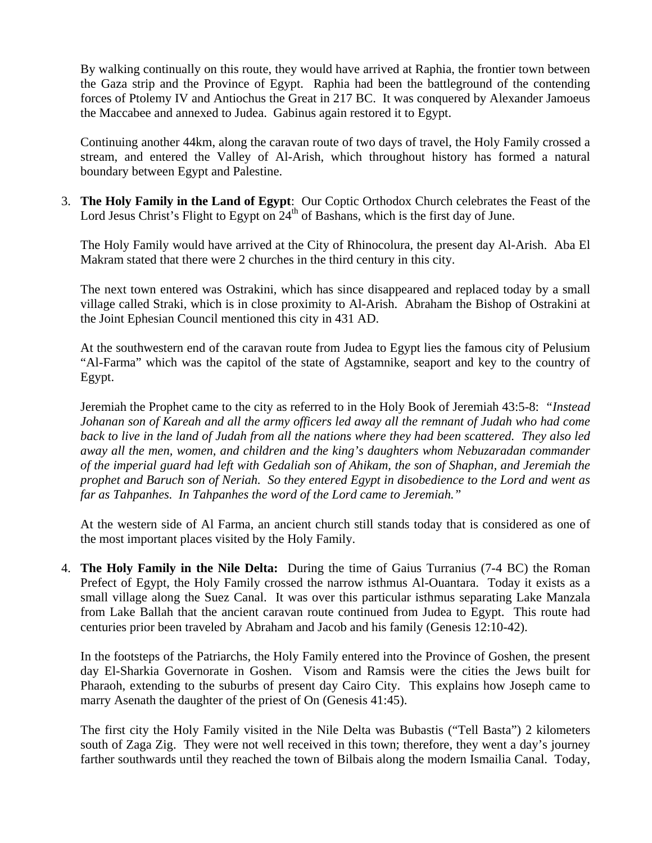By walking continually on this route, they would have arrived at Raphia, the frontier town between the Gaza strip and the Province of Egypt. Raphia had been the battleground of the contending forces of Ptolemy IV and Antiochus the Great in 217 BC. It was conquered by Alexander Jamoeus the Maccabee and annexed to Judea. Gabinus again restored it to Egypt.

Continuing another 44km, along the caravan route of two days of travel, the Holy Family crossed a stream, and entered the Valley of Al-Arish, which throughout history has formed a natural boundary between Egypt and Palestine.

3. **The Holy Family in the Land of Egypt**: Our Coptic Orthodox Church celebrates the Feast of the Lord Jesus Christ's Flight to Egypt on  $24<sup>th</sup>$  of Bashans, which is the first day of June.

The Holy Family would have arrived at the City of Rhinocolura, the present day Al-Arish. Aba El Makram stated that there were 2 churches in the third century in this city.

The next town entered was Ostrakini, which has since disappeared and replaced today by a small village called Straki, which is in close proximity to Al-Arish. Abraham the Bishop of Ostrakini at the Joint Ephesian Council mentioned this city in 431 AD.

At the southwestern end of the caravan route from Judea to Egypt lies the famous city of Pelusium "Al-Farma" which was the capitol of the state of Agstamnike, seaport and key to the country of Egypt.

Jeremiah the Prophet came to the city as referred to in the Holy Book of Jeremiah 43:5-8: *"Instead Johanan son of Kareah and all the army officers led away all the remnant of Judah who had come back to live in the land of Judah from all the nations where they had been scattered. They also led away all the men, women, and children and the king's daughters whom Nebuzaradan commander of the imperial guard had left with Gedaliah son of Ahikam, the son of Shaphan, and Jeremiah the prophet and Baruch son of Neriah. So they entered Egypt in disobedience to the Lord and went as far as Tahpanhes. In Tahpanhes the word of the Lord came to Jeremiah."* 

At the western side of Al Farma, an ancient church still stands today that is considered as one of the most important places visited by the Holy Family.

4. **The Holy Family in the Nile Delta:** During the time of Gaius Turranius (7-4 BC) the Roman Prefect of Egypt, the Holy Family crossed the narrow isthmus Al-Ouantara. Today it exists as a small village along the Suez Canal. It was over this particular isthmus separating Lake Manzala from Lake Ballah that the ancient caravan route continued from Judea to Egypt. This route had centuries prior been traveled by Abraham and Jacob and his family (Genesis 12:10-42).

In the footsteps of the Patriarchs, the Holy Family entered into the Province of Goshen, the present day El-Sharkia Governorate in Goshen. Visom and Ramsis were the cities the Jews built for Pharaoh, extending to the suburbs of present day Cairo City. This explains how Joseph came to marry Asenath the daughter of the priest of On (Genesis 41:45).

The first city the Holy Family visited in the Nile Delta was Bubastis ("Tell Basta") 2 kilometers south of Zaga Zig. They were not well received in this town; therefore, they went a day's journey farther southwards until they reached the town of Bilbais along the modern Ismailia Canal. Today,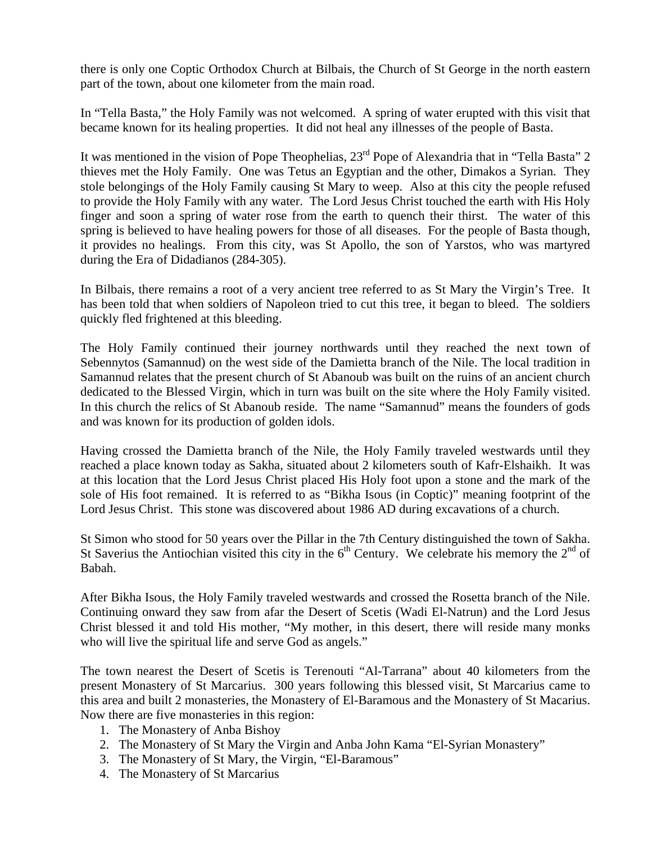there is only one Coptic Orthodox Church at Bilbais, the Church of St George in the north eastern part of the town, about one kilometer from the main road.

In "Tella Basta," the Holy Family was not welcomed. A spring of water erupted with this visit that became known for its healing properties. It did not heal any illnesses of the people of Basta.

It was mentioned in the vision of Pope Theophelias,  $23<sup>rd</sup>$  Pope of Alexandria that in "Tella Basta" 2 thieves met the Holy Family. One was Tetus an Egyptian and the other, Dimakos a Syrian. They stole belongings of the Holy Family causing St Mary to weep. Also at this city the people refused to provide the Holy Family with any water. The Lord Jesus Christ touched the earth with His Holy finger and soon a spring of water rose from the earth to quench their thirst. The water of this spring is believed to have healing powers for those of all diseases. For the people of Basta though, it provides no healings. From this city, was St Apollo, the son of Yarstos, who was martyred during the Era of Didadianos (284-305).

In Bilbais, there remains a root of a very ancient tree referred to as St Mary the Virgin's Tree. It has been told that when soldiers of Napoleon tried to cut this tree, it began to bleed. The soldiers quickly fled frightened at this bleeding.

The Holy Family continued their journey northwards until they reached the next town of Sebennytos (Samannud) on the west side of the Damietta branch of the Nile. The local tradition in Samannud relates that the present church of St Abanoub was built on the ruins of an ancient church dedicated to the Blessed Virgin, which in turn was built on the site where the Holy Family visited. In this church the relics of St Abanoub reside. The name "Samannud" means the founders of gods and was known for its production of golden idols.

Having crossed the Damietta branch of the Nile, the Holy Family traveled westwards until they reached a place known today as Sakha, situated about 2 kilometers south of Kafr-Elshaikh. It was at this location that the Lord Jesus Christ placed His Holy foot upon a stone and the mark of the sole of His foot remained. It is referred to as "Bikha Isous (in Coptic)" meaning footprint of the Lord Jesus Christ. This stone was discovered about 1986 AD during excavations of a church.

St Simon who stood for 50 years over the Pillar in the 7th Century distinguished the town of Sakha. St Saverius the Antiochian visited this city in the  $6<sup>th</sup>$  Century. We celebrate his memory the  $2<sup>nd</sup>$  of Babah.

After Bikha Isous, the Holy Family traveled westwards and crossed the Rosetta branch of the Nile. Continuing onward they saw from afar the Desert of Scetis (Wadi El-Natrun) and the Lord Jesus Christ blessed it and told His mother, "My mother, in this desert, there will reside many monks who will live the spiritual life and serve God as angels."

The town nearest the Desert of Scetis is Terenouti "Al-Tarrana" about 40 kilometers from the present Monastery of St Marcarius. 300 years following this blessed visit, St Marcarius came to this area and built 2 monasteries, the Monastery of El-Baramous and the Monastery of St Macarius. Now there are five monasteries in this region:

- 1. The Monastery of Anba Bishoy
- 2. The Monastery of St Mary the Virgin and Anba John Kama "El-Syrian Monastery"
- 3. The Monastery of St Mary, the Virgin, "El-Baramous"
- 4. The Monastery of St Marcarius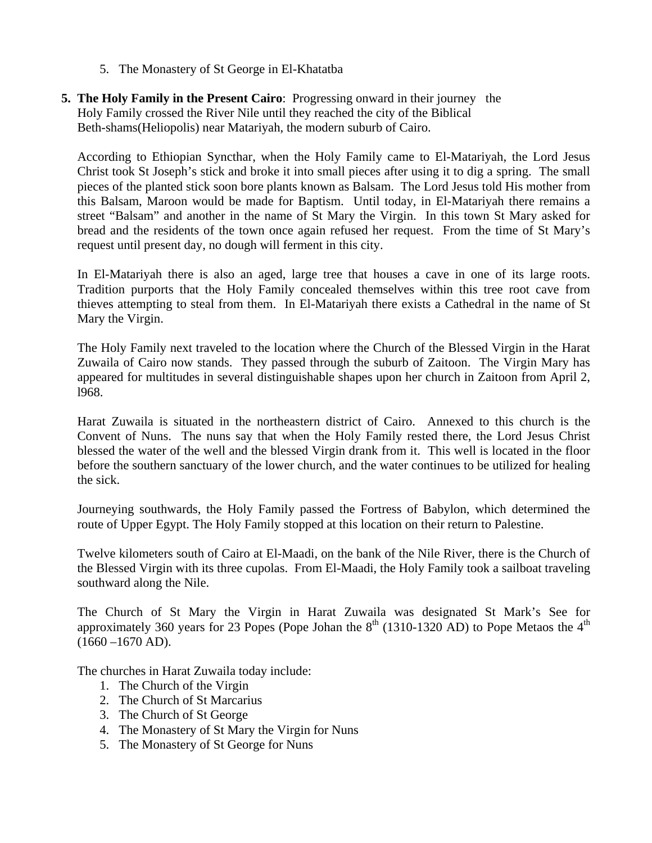- 5. The Monastery of St George in El-Khatatba
- **5. The Holy Family in the Present Cairo**: Progressing onward in their journey the Holy Family crossed the River Nile until they reached the city of the Biblical Beth-shams(Heliopolis) near Matariyah, the modern suburb of Cairo.

According to Ethiopian Syncthar, when the Holy Family came to El-Matariyah, the Lord Jesus Christ took St Joseph's stick and broke it into small pieces after using it to dig a spring. The small pieces of the planted stick soon bore plants known as Balsam. The Lord Jesus told His mother from this Balsam, Maroon would be made for Baptism. Until today, in El-Matariyah there remains a street "Balsam" and another in the name of St Mary the Virgin. In this town St Mary asked for bread and the residents of the town once again refused her request. From the time of St Mary's request until present day, no dough will ferment in this city.

In El-Matariyah there is also an aged, large tree that houses a cave in one of its large roots. Tradition purports that the Holy Family concealed themselves within this tree root cave from thieves attempting to steal from them. In El-Matariyah there exists a Cathedral in the name of St Mary the Virgin.

The Holy Family next traveled to the location where the Church of the Blessed Virgin in the Harat Zuwaila of Cairo now stands. They passed through the suburb of Zaitoon. The Virgin Mary has appeared for multitudes in several distinguishable shapes upon her church in Zaitoon from April 2, l968.

Harat Zuwaila is situated in the northeastern district of Cairo. Annexed to this church is the Convent of Nuns. The nuns say that when the Holy Family rested there, the Lord Jesus Christ blessed the water of the well and the blessed Virgin drank from it. This well is located in the floor before the southern sanctuary of the lower church, and the water continues to be utilized for healing the sick.

Journeying southwards, the Holy Family passed the Fortress of Babylon, which determined the route of Upper Egypt. The Holy Family stopped at this location on their return to Palestine.

Twelve kilometers south of Cairo at El-Maadi, on the bank of the Nile River, there is the Church of the Blessed Virgin with its three cupolas. From El-Maadi, the Holy Family took a sailboat traveling southward along the Nile.

The Church of St Mary the Virgin in Harat Zuwaila was designated St Mark's See for approximately 360 years for 23 Popes (Pope Johan the  $8<sup>th</sup>$  (1310-1320 AD) to Pope Metaos the  $4<sup>th</sup>$  $(1660 - 1670$  AD).

The churches in Harat Zuwaila today include:

- 1. The Church of the Virgin
- 2. The Church of St Marcarius
- 3. The Church of St George
- 4. The Monastery of St Mary the Virgin for Nuns
- 5. The Monastery of St George for Nuns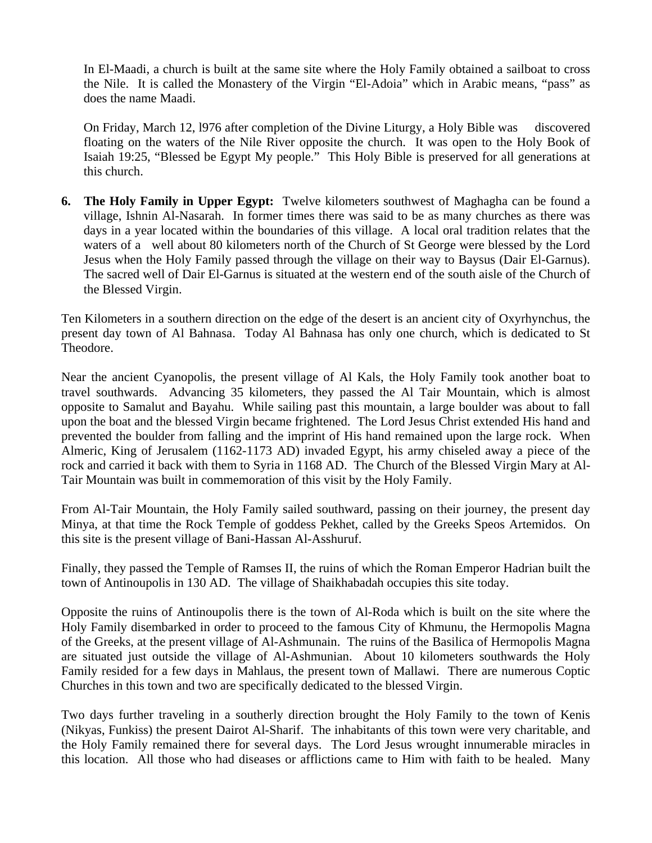In El-Maadi, a church is built at the same site where the Holy Family obtained a sailboat to cross the Nile. It is called the Monastery of the Virgin "El-Adoia" which in Arabic means, "pass" as does the name Maadi.

On Friday, March 12, l976 after completion of the Divine Liturgy, a Holy Bible was discovered floating on the waters of the Nile River opposite the church. It was open to the Holy Book of Isaiah 19:25, "Blessed be Egypt My people." This Holy Bible is preserved for all generations at this church.

**6. The Holy Family in Upper Egypt:** Twelve kilometers southwest of Maghagha can be found a village, Ishnin Al-Nasarah. In former times there was said to be as many churches as there was days in a year located within the boundaries of this village. A local oral tradition relates that the waters of a well about 80 kilometers north of the Church of St George were blessed by the Lord Jesus when the Holy Family passed through the village on their way to Baysus (Dair El-Garnus). The sacred well of Dair El-Garnus is situated at the western end of the south aisle of the Church of the Blessed Virgin.

Ten Kilometers in a southern direction on the edge of the desert is an ancient city of Oxyrhynchus, the present day town of Al Bahnasa. Today Al Bahnasa has only one church, which is dedicated to St Theodore.

Near the ancient Cyanopolis, the present village of Al Kals, the Holy Family took another boat to travel southwards. Advancing 35 kilometers, they passed the Al Tair Mountain, which is almost opposite to Samalut and Bayahu. While sailing past this mountain, a large boulder was about to fall upon the boat and the blessed Virgin became frightened. The Lord Jesus Christ extended His hand and prevented the boulder from falling and the imprint of His hand remained upon the large rock. When Almeric, King of Jerusalem (1162-1173 AD) invaded Egypt, his army chiseled away a piece of the rock and carried it back with them to Syria in 1168 AD. The Church of the Blessed Virgin Mary at Al-Tair Mountain was built in commemoration of this visit by the Holy Family.

From Al-Tair Mountain, the Holy Family sailed southward, passing on their journey, the present day Minya, at that time the Rock Temple of goddess Pekhet, called by the Greeks Speos Artemidos. On this site is the present village of Bani-Hassan Al-Asshuruf.

Finally, they passed the Temple of Ramses II, the ruins of which the Roman Emperor Hadrian built the town of Antinoupolis in 130 AD. The village of Shaikhabadah occupies this site today.

Opposite the ruins of Antinoupolis there is the town of Al-Roda which is built on the site where the Holy Family disembarked in order to proceed to the famous City of Khmunu, the Hermopolis Magna of the Greeks, at the present village of Al-Ashmunain. The ruins of the Basilica of Hermopolis Magna are situated just outside the village of Al-Ashmunian. About 10 kilometers southwards the Holy Family resided for a few days in Mahlaus, the present town of Mallawi. There are numerous Coptic Churches in this town and two are specifically dedicated to the blessed Virgin.

Two days further traveling in a southerly direction brought the Holy Family to the town of Kenis (Nikyas, Funkiss) the present Dairot Al-Sharif. The inhabitants of this town were very charitable, and the Holy Family remained there for several days. The Lord Jesus wrought innumerable miracles in this location. All those who had diseases or afflictions came to Him with faith to be healed. Many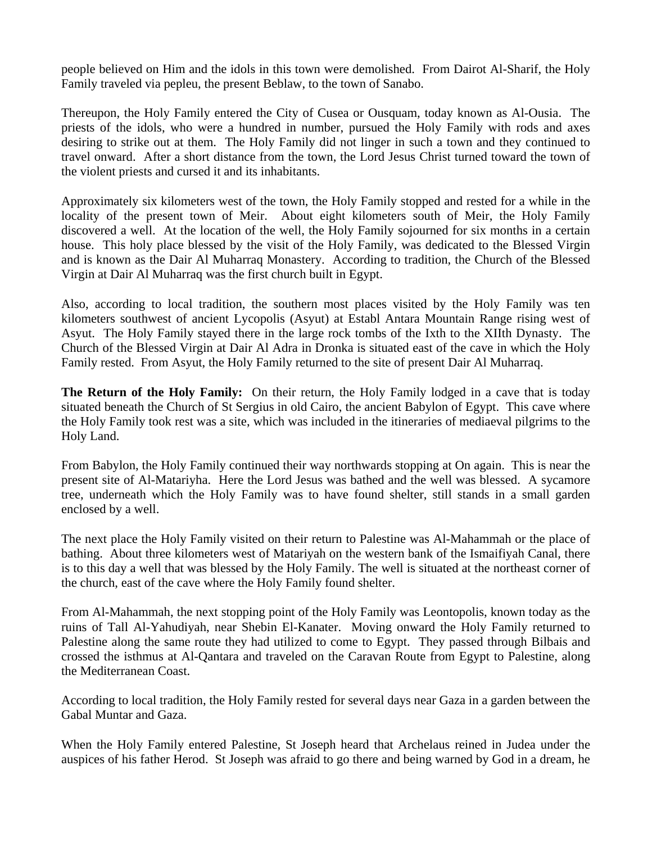people believed on Him and the idols in this town were demolished. From Dairot Al-Sharif, the Holy Family traveled via pepleu, the present Beblaw, to the town of Sanabo.

Thereupon, the Holy Family entered the City of Cusea or Ousquam, today known as Al-Ousia. The priests of the idols, who were a hundred in number, pursued the Holy Family with rods and axes desiring to strike out at them. The Holy Family did not linger in such a town and they continued to travel onward. After a short distance from the town, the Lord Jesus Christ turned toward the town of the violent priests and cursed it and its inhabitants.

Approximately six kilometers west of the town, the Holy Family stopped and rested for a while in the locality of the present town of Meir. About eight kilometers south of Meir, the Holy Family discovered a well. At the location of the well, the Holy Family sojourned for six months in a certain house. This holy place blessed by the visit of the Holy Family, was dedicated to the Blessed Virgin and is known as the Dair Al Muharraq Monastery. According to tradition, the Church of the Blessed Virgin at Dair Al Muharraq was the first church built in Egypt.

Also, according to local tradition, the southern most places visited by the Holy Family was ten kilometers southwest of ancient Lycopolis (Asyut) at Establ Antara Mountain Range rising west of Asyut. The Holy Family stayed there in the large rock tombs of the Ixth to the XIIth Dynasty. The Church of the Blessed Virgin at Dair Al Adra in Dronka is situated east of the cave in which the Holy Family rested. From Asyut, the Holy Family returned to the site of present Dair Al Muharraq.

**The Return of the Holy Family:** On their return, the Holy Family lodged in a cave that is today situated beneath the Church of St Sergius in old Cairo, the ancient Babylon of Egypt. This cave where the Holy Family took rest was a site, which was included in the itineraries of mediaeval pilgrims to the Holy Land.

From Babylon, the Holy Family continued their way northwards stopping at On again. This is near the present site of Al-Matariyha. Here the Lord Jesus was bathed and the well was blessed. A sycamore tree, underneath which the Holy Family was to have found shelter, still stands in a small garden enclosed by a well.

The next place the Holy Family visited on their return to Palestine was Al-Mahammah or the place of bathing. About three kilometers west of Matariyah on the western bank of the Ismaifiyah Canal, there is to this day a well that was blessed by the Holy Family. The well is situated at the northeast corner of the church, east of the cave where the Holy Family found shelter.

From Al-Mahammah, the next stopping point of the Holy Family was Leontopolis, known today as the ruins of Tall Al-Yahudiyah, near Shebin El-Kanater. Moving onward the Holy Family returned to Palestine along the same route they had utilized to come to Egypt. They passed through Bilbais and crossed the isthmus at Al-Qantara and traveled on the Caravan Route from Egypt to Palestine, along the Mediterranean Coast.

According to local tradition, the Holy Family rested for several days near Gaza in a garden between the Gabal Muntar and Gaza.

When the Holy Family entered Palestine, St Joseph heard that Archelaus reined in Judea under the auspices of his father Herod. St Joseph was afraid to go there and being warned by God in a dream, he